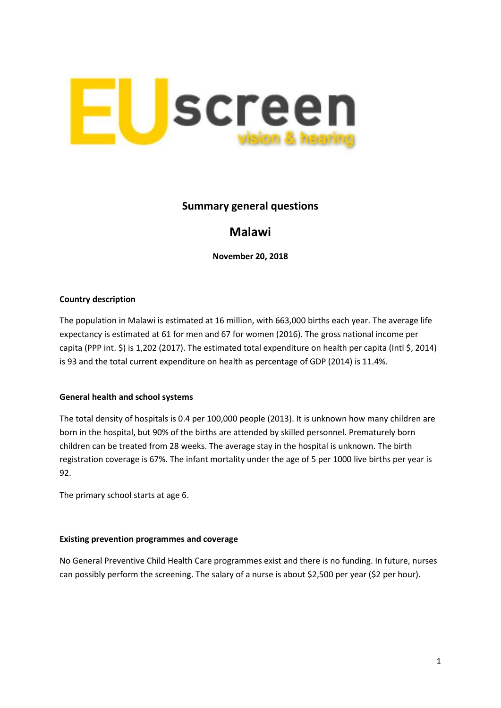

## **Summary general questions**

# **Malawi**

**November 20, 2018**

#### **Country description**

The population in Malawi is estimated at 16 million, with 663,000 births each year. The average life expectancy is estimated at 61 for men and 67 for women (2016). The gross national income per capita (PPP int. \$) is 1,202 (2017). The estimated total expenditure on health per capita (Intl \$, 2014) is 93 and the total current expenditure on health as percentage of GDP (2014) is 11.4%.

#### **General health and school systems**

The total density of hospitals is 0.4 per 100,000 people (2013). It is unknown how many children are born in the hospital, but 90% of the births are attended by skilled personnel. Prematurely born children can be treated from 28 weeks. The average stay in the hospital is unknown. The birth registration coverage is 67%. The infant mortality under the age of 5 per 1000 live births per year is 92.

The primary school starts at age 6.

#### **Existing prevention programmes and coverage**

No General Preventive Child Health Care programmes exist and there is no funding. In future, nurses can possibly perform the screening. The salary of a nurse is about \$2,500 per year (\$2 per hour).